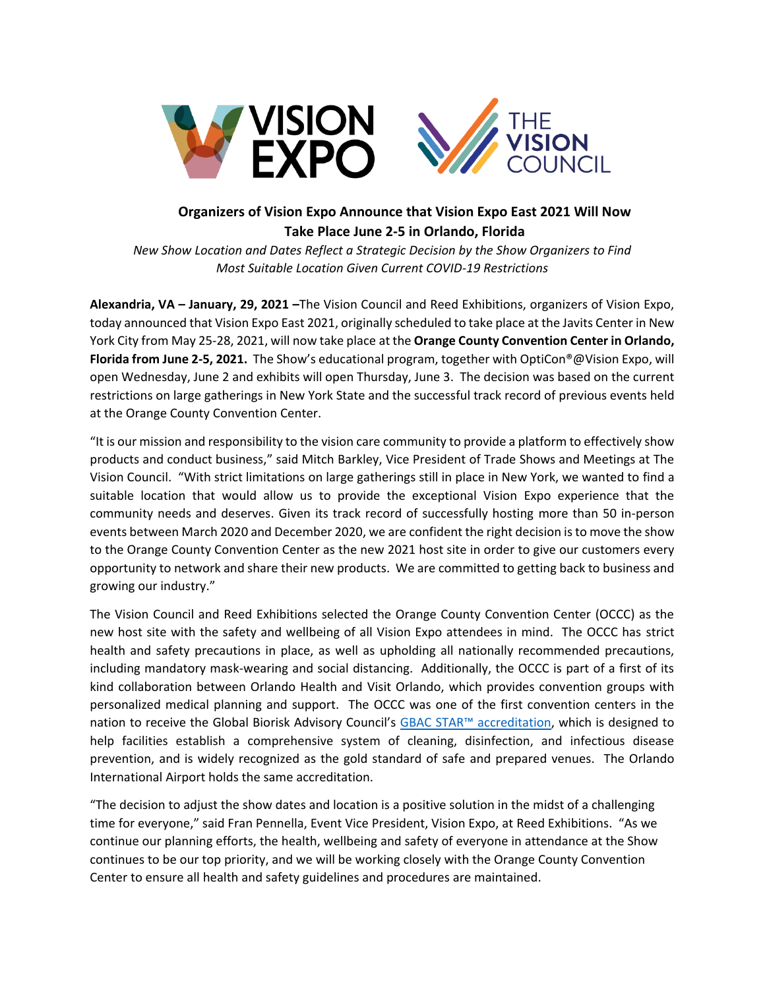

## **Organizers of Vision Expo Announce that Vision Expo East 2021 Will Now Take Place June 2-5 in Orlando, Florida**

*New Show Location and Dates Reflect a Strategic Decision by the Show Organizers to Find Most Suitable Location Given Current COVID-19 Restrictions*

**Alexandria, VA – January, 29, 2021 –**The Vision Council and Reed Exhibitions, organizers of Vision Expo, today announced that Vision Expo East 2021, originally scheduled to take place at the Javits Center in New York City from May 25-28, 2021, will now take place at the **Orange County Convention Center in Orlando, Florida from June 2-5, 2021.** The Show's educational program, together with OptiCon®@Vision Expo, will open Wednesday, June 2 and exhibits will open Thursday, June 3. The decision was based on the current restrictions on large gatherings in New York State and the successful track record of previous events held at the Orange County Convention Center.

"It is our mission and responsibility to the vision care community to provide a platform to effectively show products and conduct business," said Mitch Barkley, Vice President of Trade Shows and Meetings at The Vision Council. "With strict limitations on large gatherings still in place in New York, we wanted to find a suitable location that would allow us to provide the exceptional Vision Expo experience that the community needs and deserves. Given its track record of successfully hosting more than 50 in-person events between March 2020 and December 2020, we are confident the right decision is to move the show to the Orange County Convention Center as the new 2021 host site in order to give our customers every opportunity to network and share their new products. We are committed to getting back to business and growing our industry."

The Vision Council and Reed Exhibitions selected the Orange County Convention Center (OCCC) as the new host site with the safety and wellbeing of all Vision Expo attendees in mind. The OCCC has strict health and safety precautions in place, as well as upholding all nationally recommended precautions, including mandatory mask-wearing and social distancing. Additionally, the OCCC is part of a first of its kind collaboration between Orlando Health and Visit Orlando, which provides convention groups with personalized medical planning and support. The OCCC was one of the first convention centers in the nation to receive the Global Biorisk Advisory Council's GBAC [STAR™ accreditation](https://gbac.issa.com/issa-gbac-star-facility-accreditation/), which is designed to help facilities establish a comprehensive system of cleaning, disinfection, and infectious disease prevention, and is widely recognized as the gold standard of safe and prepared venues. The Orlando International Airport holds the same accreditation.

"The decision to adjust the show dates and location is a positive solution in the midst of a challenging time for everyone," said Fran Pennella, Event Vice President, Vision Expo, at Reed Exhibitions. "As we continue our planning efforts, the health, wellbeing and safety of everyone in attendance at the Show continues to be our top priority, and we will be working closely with the Orange County Convention Center to ensure all health and safety guidelines and procedures are maintained.